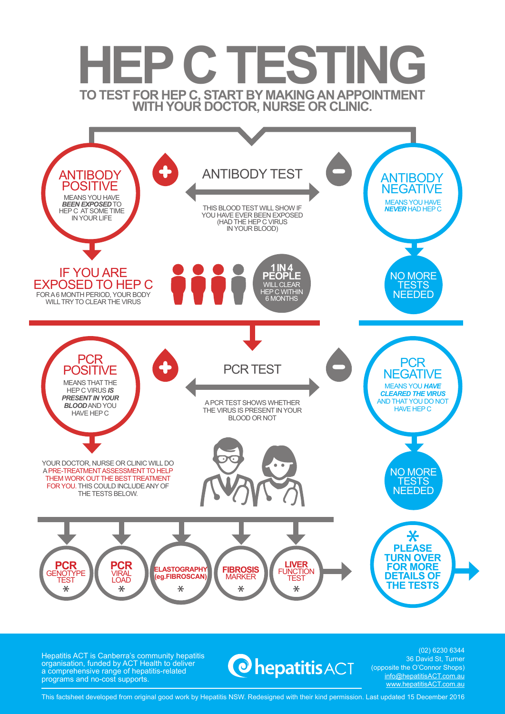

Hepatitis ACT is Canberra's community hepatitis organisation, funded by ACT Health to deliver a comprehensive range of hepatitis-related programs and no-cost supports.

# **O**hepatitis ACT

(02) 6230 6344 36 David St, Turner (opposite the O'Connor Shops) info@hepatitisACT.com.au www.hepatitisACT.com.au

This factsheet developed from original good work by Hepatitis NSW. Redesigned with their kind permission. Last updated 15 December 2016